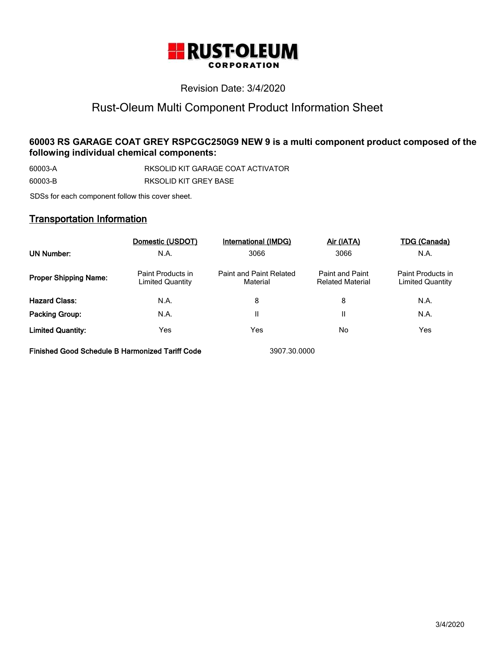

# Revision Date: 3/4/2020

# Rust-Oleum Multi Component Product Information Sheet

# **60003 RS GARAGE COAT GREY RSPCGC250G9 NEW 9 is a multi component product composed of the following individual chemical components:**

60003-A RKSOLID KIT GARAGE COAT ACTIVATOR 60003-B RKSOLID KIT GREY BASE

SDSs for each component follow this cover sheet.

# Transportation Information

|                              | Domestic (USDOT)                      | International (IMDG)                | Air (IATA)                                        | <b>TDG (Canada)</b>                          |
|------------------------------|---------------------------------------|-------------------------------------|---------------------------------------------------|----------------------------------------------|
| <b>UN Number:</b>            | N.A.                                  | 3066                                | 3066                                              | N.A.                                         |
| <b>Proper Shipping Name:</b> | Paint Products in<br>Limited Quantity | Paint and Paint Related<br>Material | <b>Paint and Paint</b><br><b>Related Material</b> | Paint Products in<br><b>Limited Quantity</b> |
| <b>Hazard Class:</b>         | N.A.                                  | 8                                   | 8                                                 | N.A.                                         |
| Packing Group:               | N.A.                                  | Ш                                   |                                                   | N.A.                                         |
| <b>Limited Quantity:</b>     | Yes                                   | Yes                                 | No                                                | Yes                                          |

Finished Good Schedule B Harmonized Tariff Code 3907.30.0000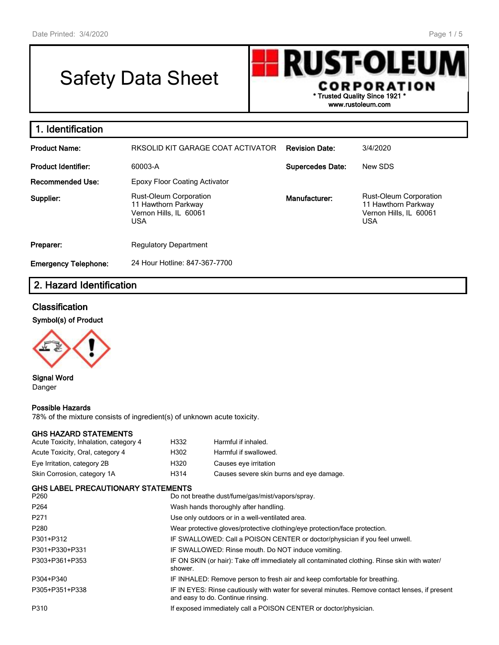г

# Safety Data Sheet

**RUST-OLEU** CORPORATION \* Trusted Quality Since 1921 \* www.rustoleum.com

| 1. Identification           |                                                                                              |                         |                                                                                              |
|-----------------------------|----------------------------------------------------------------------------------------------|-------------------------|----------------------------------------------------------------------------------------------|
| <b>Product Name:</b>        | RKSOLID KIT GARAGE COAT ACTIVATOR                                                            | <b>Revision Date:</b>   | 3/4/2020                                                                                     |
| <b>Product Identifier:</b>  | 60003-A                                                                                      | <b>Supercedes Date:</b> | New SDS                                                                                      |
| <b>Recommended Use:</b>     | <b>Epoxy Floor Coating Activator</b>                                                         |                         |                                                                                              |
| Supplier:                   | <b>Rust-Oleum Corporation</b><br>11 Hawthorn Parkway<br>Vernon Hills, IL 60061<br><b>USA</b> | Manufacturer:           | <b>Rust-Oleum Corporation</b><br>11 Hawthorn Parkway<br>Vernon Hills, IL 60061<br><b>USA</b> |
| Preparer:                   | <b>Regulatory Department</b>                                                                 |                         |                                                                                              |
| <b>Emergency Telephone:</b> | 24 Hour Hotline: 847-367-7700                                                                |                         |                                                                                              |

# 2. Hazard Identification

### **Classification**

Symbol(s) of Product



Signal Word Danger

### Possible Hazards

78% of the mixture consists of ingredient(s) of unknown acute toxicity.

### GHS HAZARD STATEMENTS

| Acute Toxicity, Inhalation, category 4 | H332 | Harmful if inhaled.                      |
|----------------------------------------|------|------------------------------------------|
| Acute Toxicity, Oral, category 4       | H302 | Harmful if swallowed.                    |
| Eye Irritation, category 2B            | H320 | Causes eye irritation                    |
| Skin Corrosion, category 1A            | H314 | Causes severe skin burns and eye damage. |

|       | <b>GHS LABEL PRECAUTIONARY STATEMENTS</b> |  |
|-------|-------------------------------------------|--|
| $  -$ |                                           |  |

| P <sub>260</sub> | Do not breathe dust/fume/gas/mist/vapors/spray.                                                                                     |
|------------------|-------------------------------------------------------------------------------------------------------------------------------------|
| P <sub>264</sub> | Wash hands thoroughly after handling.                                                                                               |
| P <sub>271</sub> | Use only outdoors or in a well-ventilated area.                                                                                     |
| P <sub>280</sub> | Wear protective gloves/protective clothing/eye protection/face protection.                                                          |
| P301+P312        | IF SWALLOWED: Call a POISON CENTER or doctor/physician if you feel unwell.                                                          |
| P301+P330+P331   | IF SWALLOWED: Rinse mouth. Do NOT induce vomiting.                                                                                  |
| P303+P361+P353   | IF ON SKIN (or hair): Take off immediately all contaminated clothing. Rinse skin with water/<br>shower.                             |
| P304+P340        | IF INHALED: Remove person to fresh air and keep comfortable for breathing.                                                          |
| P305+P351+P338   | IF IN EYES: Rinse cautiously with water for several minutes. Remove contact lenses, if present<br>and easy to do. Continue rinsing. |
| P310             | If exposed immediately call a POISON CENTER or doctor/physician.                                                                    |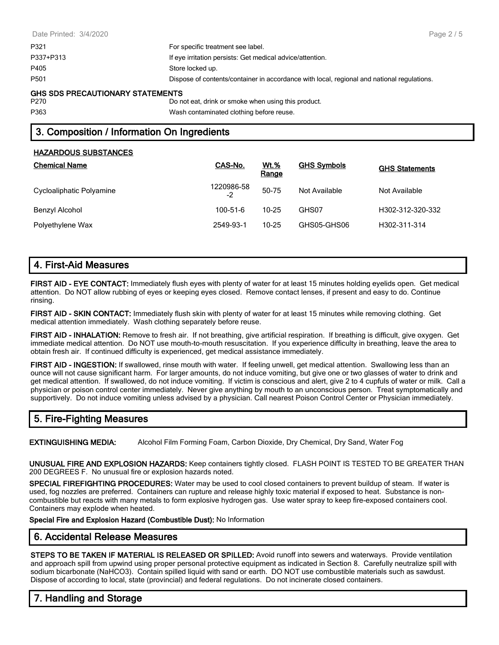| Page $2/5$                                                                                 |
|--------------------------------------------------------------------------------------------|
|                                                                                            |
|                                                                                            |
|                                                                                            |
| Dispose of contents/container in accordance with local, regional and national regulations. |
|                                                                                            |
|                                                                                            |

# 3. Composition / Information On Ingredients

### HAZARDOUS SUBSTANCES

| <b>Chemical Name</b>     | CAS-No.          | <u>Wt.%</u><br>Range | <b>GHS Symbols</b> | <b>GHS Statements</b> |
|--------------------------|------------------|----------------------|--------------------|-----------------------|
| Cycloaliphatic Polyamine | 1220986-58<br>-2 | 50-75                | Not Available      | Not Available         |
| Benzyl Alcohol           | $100 - 51 - 6$   | $10 - 25$            | GHS07              | H302-312-320-332      |
| Polyethylene Wax         | 2549-93-1        | $10 - 25$            | GHS05-GHS06        | H302-311-314          |

# 4. First-Aid Measures

FIRST AID - EYE CONTACT: Immediately flush eyes with plenty of water for at least 15 minutes holding eyelids open. Get medical attention. Do NOT allow rubbing of eyes or keeping eyes closed. Remove contact lenses, if present and easy to do. Continue rinsing.

FIRST AID - SKIN CONTACT: Immediately flush skin with plenty of water for at least 15 minutes while removing clothing. Get medical attention immediately. Wash clothing separately before reuse.

FIRST AID - INHALATION: Remove to fresh air. If not breathing, give artificial respiration. If breathing is difficult, give oxygen. Get immediate medical attention. Do NOT use mouth-to-mouth resuscitation. If you experience difficulty in breathing, leave the area to obtain fresh air. If continued difficulty is experienced, get medical assistance immediately.

FIRST AID - INGESTION: If swallowed, rinse mouth with water. If feeling unwell, get medical attention. Swallowing less than an ounce will not cause significant harm. For larger amounts, do not induce vomiting, but give one or two glasses of water to drink and get medical attention. If swallowed, do not induce vomiting. If victim is conscious and alert, give 2 to 4 cupfuls of water or milk. Call a physician or poison control center immediately. Never give anything by mouth to an unconscious person. Treat symptomatically and supportively. Do not induce vomiting unless advised by a physician. Call nearest Poison Control Center or Physician immediately.

# 5. Fire-Fighting Measures

EXTINGUISHING MEDIA: Alcohol Film Forming Foam, Carbon Dioxide, Dry Chemical, Dry Sand, Water Fog

UNUSUAL FIRE AND EXPLOSION HAZARDS: Keep containers tightly closed. FLASH POINT IS TESTED TO BE GREATER THAN 200 DEGREES F. No unusual fire or explosion hazards noted.

SPECIAL FIREFIGHTING PROCEDURES: Water may be used to cool closed containers to prevent buildup of steam. If water is used, fog nozzles are preferred. Containers can rupture and release highly toxic material if exposed to heat. Substance is noncombustible but reacts with many metals to form explosive hydrogen gas. Use water spray to keep fire-exposed containers cool. Containers may explode when heated.

Special Fire and Explosion Hazard (Combustible Dust): No Information

# 6. Accidental Release Measures

STEPS TO BE TAKEN IF MATERIAL IS RELEASED OR SPILLED: Avoid runoff into sewers and waterways. Provide ventilation and approach spill from upwind using proper personal protective equipment as indicated in Section 8. Carefully neutralize spill with sodium bicarbonate (NaHCO3). Contain spilled liquid with sand or earth. DO NOT use combustible materials such as sawdust. Dispose of according to local, state (provincial) and federal regulations. Do not incinerate closed containers.

# 7. Handling and Storage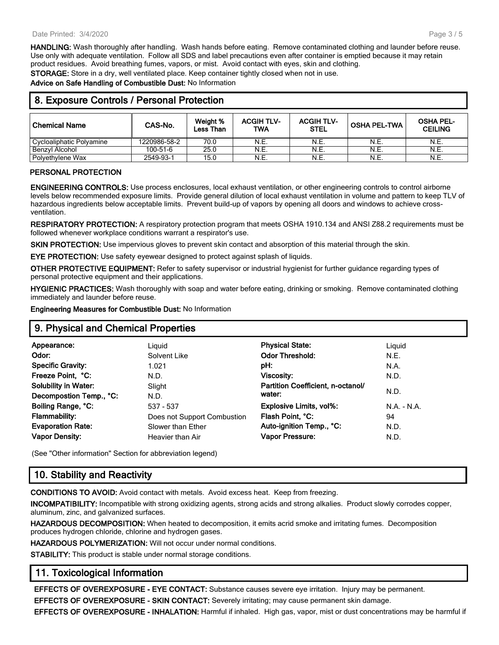HANDLING: Wash thoroughly after handling. Wash hands before eating. Remove contaminated clothing and launder before reuse. Use only with adequate ventilation. Follow all SDS and label precautions even after container is emptied because it may retain product residues. Avoid breathing fumes, vapors, or mist. Avoid contact with eyes, skin and clothing.

STORAGE: Store in a dry, well ventilated place. Keep container tightly closed when not in use.

Advice on Safe Handling of Combustible Dust: No Information

| 8. Exposure Controls / Personal Protection |              |                              |                          |                                  |                     |                                    |
|--------------------------------------------|--------------|------------------------------|--------------------------|----------------------------------|---------------------|------------------------------------|
| Chemical Name                              | CAS-No.      | Weight %<br><b>Less Than</b> | <b>ACGIH TLV-</b><br>TWA | <b>ACGIH TLV-</b><br><b>STEL</b> | <b>OSHA PEL-TWA</b> | <b>OSHA PEL-</b><br><b>CEILING</b> |
| Cycloaliphatic Polyamine                   | 1220986-58-2 | 70.0                         | N.E.                     | N.E.                             | N.E.                | N.E.                               |
| Benzyl Alcohol                             | 100-51-6     | 25.0                         | N.E.                     | N.E.                             | N.E.                | N.E.                               |
| Polyethylene Wax                           | 2549-93-1    | 15.0                         | N.E.                     | N.E.                             | N.E.                | N.E.                               |

### PERSONAL PROTECTION

ENGINEERING CONTROLS: Use process enclosures, local exhaust ventilation, or other engineering controls to control airborne levels below recommended exposure limits. Provide general dilution of local exhaust ventilation in volume and pattern to keep TLV of hazardous ingredients below acceptable limits. Prevent build-up of vapors by opening all doors and windows to achieve crossventilation.

RESPIRATORY PROTECTION: A respiratory protection program that meets OSHA 1910.134 and ANSI Z88.2 requirements must be followed whenever workplace conditions warrant a respirator's use.

SKIN PROTECTION: Use impervious gloves to prevent skin contact and absorption of this material through the skin.

EYE PROTECTION: Use safety eyewear designed to protect against splash of liquids.

OTHER PROTECTIVE EQUIPMENT: Refer to safety supervisor or industrial hygienist for further guidance regarding types of personal protective equipment and their applications.

HYGIENIC PRACTICES: Wash thoroughly with soap and water before eating, drinking or smoking. Remove contaminated clothing immediately and launder before reuse.

Engineering Measures for Combustible Dust: No Information

### 9. Physical and Chemical Properties

| Appearance:                 | Liguid                      | <b>Physical State:</b>            | Liguid      |
|-----------------------------|-----------------------------|-----------------------------------|-------------|
| Odor:                       | Solvent Like                | <b>Odor Threshold:</b>            | N.E.        |
| <b>Specific Gravity:</b>    | 1.021                       | pH:                               | N.A.        |
| Freeze Point, °C:           | N.D.                        | Viscosity:                        | N.D.        |
| <b>Solubility in Water:</b> | Slight                      | Partition Coefficient, n-octanol/ |             |
| Decompostion Temp., °C:     | N.D.                        | water:                            | N.D.        |
| Boiling Range, °C:          | 537 - 537                   | <b>Explosive Limits, vol%:</b>    | N.A. - N.A. |
| <b>Flammability:</b>        | Does not Support Combustion | Flash Point, °C:                  | 94          |
| <b>Evaporation Rate:</b>    | Slower than Ether           | Auto-ignition Temp., °C:          | N.D.        |
| <b>Vapor Density:</b>       | Heavier than Air            | <b>Vapor Pressure:</b>            | N.D.        |
|                             |                             |                                   |             |

(See "Other information" Section for abbreviation legend)

### 10. Stability and Reactivity

CONDITIONS TO AVOID: Avoid contact with metals. Avoid excess heat. Keep from freezing.

INCOMPATIBILITY: Incompatible with strong oxidizing agents, strong acids and strong alkalies. Product slowly corrodes copper, aluminum, zinc, and galvanized surfaces.

HAZARDOUS DECOMPOSITION: When heated to decomposition, it emits acrid smoke and irritating fumes. Decomposition produces hydrogen chloride, chlorine and hydrogen gases.

HAZARDOUS POLYMERIZATION: Will not occur under normal conditions.

STABILITY: This product is stable under normal storage conditions.

### 11. Toxicological Information

EFFECTS OF OVEREXPOSURE - EYE CONTACT: Substance causes severe eye irritation. Injury may be permanent. EFFECTS OF OVEREXPOSURE - SKIN CONTACT: Severely irritating; may cause permanent skin damage.

EFFECTS OF OVEREXPOSURE - INHALATION: Harmful if inhaled. High gas, vapor, mist or dust concentrations may be harmful if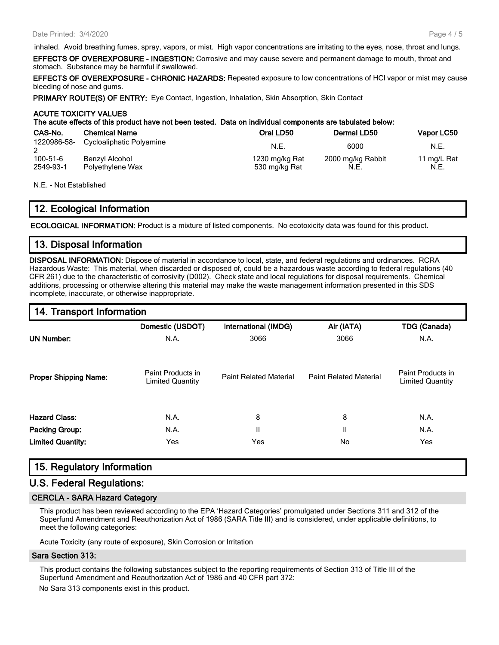inhaled. Avoid breathing fumes, spray, vapors, or mist. High vapor concentrations are irritating to the eyes, nose, throat and lungs. EFFECTS OF OVEREXPOSURE - INGESTION: Corrosive and may cause severe and permanent damage to mouth, throat and stomach. Substance may be harmful if swallowed.

EFFECTS OF OVEREXPOSURE - CHRONIC HAZARDS: Repeated exposure to low concentrations of HCl vapor or mist may cause bleeding of nose and gums.

PRIMARY ROUTE(S) OF ENTRY: Eye Contact, Ingestion, Inhalation, Skin Absorption, Skin Contact

### ACUTE TOXICITY VALUES

The acute effects of this product have not been tested. Data on individual components are tabulated below:

| CAS-No.                     | <b>Chemical Name</b>               | Oral LD50                       | Dermal LD50               | Vapor LC50          |
|-----------------------------|------------------------------------|---------------------------------|---------------------------|---------------------|
| 1220986-58-                 | Cycloaliphatic Polyamine           | N.E.                            | 6000                      | N.E.                |
| $100 - 51 - 6$<br>2549-93-1 | Benzyl Alcohol<br>Polyethylene Wax | 1230 mg/kg Rat<br>530 mg/kg Rat | 2000 mg/kg Rabbit<br>N.E. | 11 mg/L Rat<br>N.E. |

N.E. - Not Established

### 12. Ecological Information

ECOLOGICAL INFORMATION: Product is a mixture of listed components. No ecotoxicity data was found for this product.

### 13. Disposal Information

DISPOSAL INFORMATION: Dispose of material in accordance to local, state, and federal regulations and ordinances. RCRA Hazardous Waste: This material, when discarded or disposed of, could be a hazardous waste according to federal regulations (40 CFR 261) due to the characteristic of corrosivity (D002). Check state and local regulations for disposal requirements. Chemical additions, processing or otherwise altering this material may make the waste management information presented in this SDS incomplete, inaccurate, or otherwise inappropriate.

# 14. Transport Information Domestic (USDOT) International (IMDG) Air (IATA) TDG (Canada) UN Number: N.A. 3066 3066 N.A. **Proper Shipping Name:** Paint Products in Products in Products in Products in Products in Products in Products in P Paint Related Material Paint Related Material Paint Products in Limited Quantity **Hazard Class:** N.A. N.A. 8 8 8 N.A. Packing Group: N.A. II II N.A. **Limited Quantity:** The Yes No Yes No Yes No Yes No Yes No Yes No Yes No Yes No Yes No Yes No Yes No Yes No Yes

# 15. Regulatory Information

### U.S. Federal Regulations:

### CERCLA - SARA Hazard Category

This product has been reviewed according to the EPA 'Hazard Categories' promulgated under Sections 311 and 312 of the Superfund Amendment and Reauthorization Act of 1986 (SARA Title III) and is considered, under applicable definitions, to meet the following categories:

Acute Toxicity (any route of exposure), Skin Corrosion or Irritation

### Sara Section 313:

This product contains the following substances subject to the reporting requirements of Section 313 of Title III of the Superfund Amendment and Reauthorization Act of 1986 and 40 CFR part 372:

No Sara 313 components exist in this product.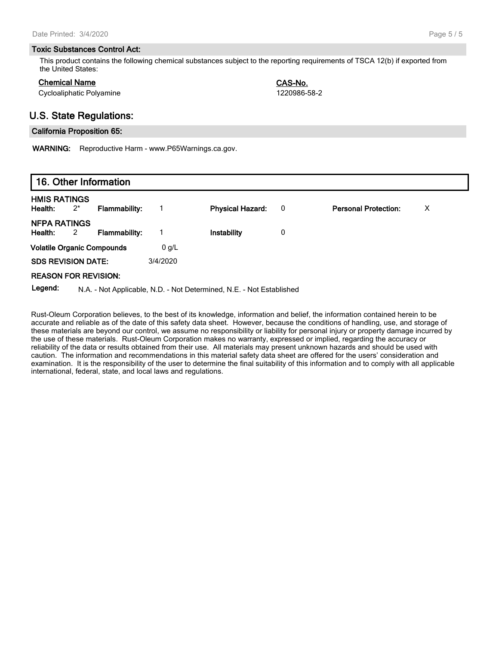#### Toxic Substances Control Act:

This product contains the following chemical substances subject to the reporting requirements of TSCA 12(b) if exported from the United States:

### Chemical Name CAS-No.

Cycloaliphatic Polyamine 1220986-58-2

### U.S. State Regulations:

### California Proposition 65:

WARNING: Reproductive Harm - www.P65Warnings.ca.gov.

# 16. Other Information

| <b>HMIS RATINGS</b><br>Health:<br>$2^*$          | <b>Flammability:</b> |          | <b>Physical Hazard:</b> | 0 | <b>Personal Protection:</b> | х |
|--------------------------------------------------|----------------------|----------|-------------------------|---|-----------------------------|---|
| <b>NFPA RATINGS</b><br>Health:<br>$\overline{2}$ | <b>Flammability:</b> |          | Instability             | 0 |                             |   |
| <b>Volatile Organic Compounds</b>                |                      | $0$ g/L  |                         |   |                             |   |
| <b>SDS REVISION DATE:</b>                        |                      | 3/4/2020 |                         |   |                             |   |
| <b>REASON FOR REVISION:</b>                      |                      |          |                         |   |                             |   |

Legend: N.A. - Not Applicable, N.D. - Not Determined, N.E. - Not Established

Rust-Oleum Corporation believes, to the best of its knowledge, information and belief, the information contained herein to be accurate and reliable as of the date of this safety data sheet. However, because the conditions of handling, use, and storage of these materials are beyond our control, we assume no responsibility or liability for personal injury or property damage incurred by the use of these materials. Rust-Oleum Corporation makes no warranty, expressed or implied, regarding the accuracy or reliability of the data or results obtained from their use. All materials may present unknown hazards and should be used with caution. The information and recommendations in this material safety data sheet are offered for the users' consideration and examination. It is the responsibility of the user to determine the final suitability of this information and to comply with all applicable international, federal, state, and local laws and regulations.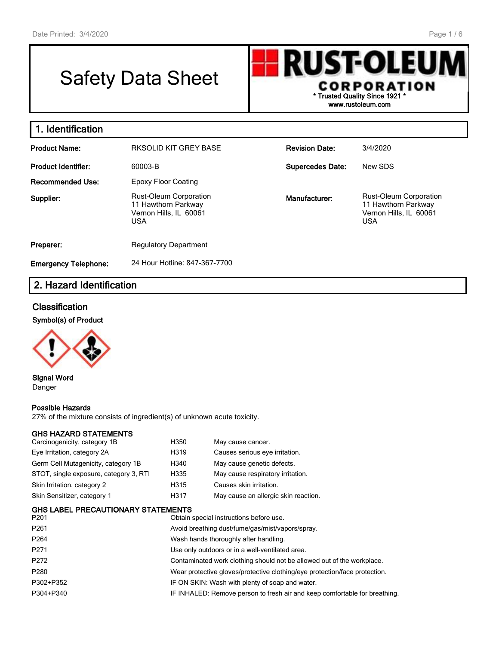# Safety Data Sheet

**RUST-OLEUN** CORPORATION \* Trusted Quality Since 1921 \* www.rustoleum.com

# 1. Identification

| <b>Product Name:</b>        | RKSOLID KIT GREY BASE                                                                        | <b>Revision Date:</b>   | 3/4/2020                                                                                     |
|-----------------------------|----------------------------------------------------------------------------------------------|-------------------------|----------------------------------------------------------------------------------------------|
| <b>Product Identifier:</b>  | 60003-B                                                                                      | <b>Supercedes Date:</b> | New SDS                                                                                      |
| Recommended Use:            | Epoxy Floor Coating                                                                          |                         |                                                                                              |
| Supplier:                   | <b>Rust-Oleum Corporation</b><br>11 Hawthorn Parkway<br>Vernon Hills, IL 60061<br><b>USA</b> | Manufacturer:           | <b>Rust-Oleum Corporation</b><br>11 Hawthorn Parkway<br>Vernon Hills, IL 60061<br><b>USA</b> |
| Preparer:                   | <b>Regulatory Department</b>                                                                 |                         |                                                                                              |
| <b>Emergency Telephone:</b> | 24 Hour Hotline: 847-367-7700                                                                |                         |                                                                                              |

# 2. Hazard Identification

### **Classification**

Symbol(s) of Product



Signal Word Danger

### Possible Hazards

27% of the mixture consists of ingredient(s) of unknown acute toxicity.

| GHS HAZARD STATEMENTS<br>Carcinogenicity, category 1B | H350                                            | May cause cancer.                                                          |  |  |
|-------------------------------------------------------|-------------------------------------------------|----------------------------------------------------------------------------|--|--|
| Eye Irritation, category 2A                           | H319                                            | Causes serious eye irritation.                                             |  |  |
| Germ Cell Mutagenicity, category 1B                   | H340                                            | May cause genetic defects.                                                 |  |  |
| STOT, single exposure, category 3, RTI                | H335                                            | May cause respiratory irritation.                                          |  |  |
| Skin Irritation, category 2                           | H315                                            | Causes skin irritation.                                                    |  |  |
| Skin Sensitizer, category 1                           | H317                                            | May cause an allergic skin reaction.                                       |  |  |
| GHS LABEL PRECAUTIONARY STATEMENTS                    |                                                 |                                                                            |  |  |
| P201                                                  |                                                 | Obtain special instructions before use.                                    |  |  |
| P261                                                  |                                                 | Avoid breathing dust/fume/gas/mist/vapors/spray.                           |  |  |
| P264                                                  |                                                 | Wash hands thoroughly after handling.                                      |  |  |
| P271                                                  |                                                 | Use only outdoors or in a well-ventilated area.                            |  |  |
| P272                                                  |                                                 | Contaminated work clothing should not be allowed out of the workplace.     |  |  |
| P280                                                  |                                                 | Wear protective gloves/protective clothing/eye protection/face protection. |  |  |
| P302+P352                                             | IF ON SKIN: Wash with plenty of soap and water. |                                                                            |  |  |
| P304+P340                                             |                                                 | IF INHALED: Remove person to fresh air and keep comfortable for breathing. |  |  |
|                                                       |                                                 |                                                                            |  |  |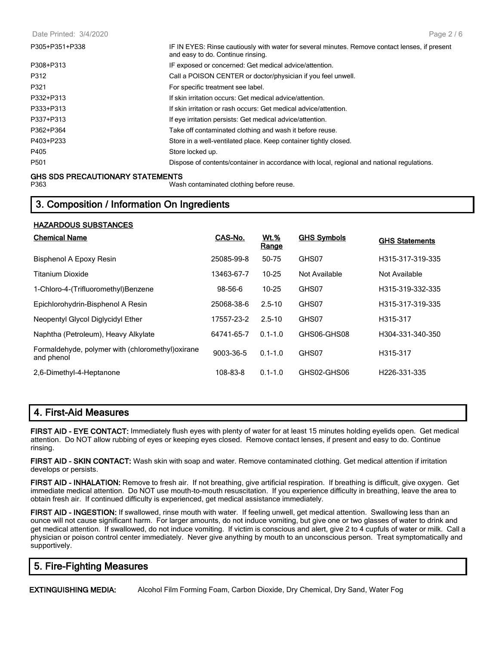| P305+P351+P338 | IF IN EYES: Rinse cautiously with water for several minutes. Remove contact lenses, if present<br>and easy to do. Continue rinsing. |
|----------------|-------------------------------------------------------------------------------------------------------------------------------------|
| P308+P313      | IF exposed or concerned: Get medical advice/attention.                                                                              |
| P312           | Call a POISON CENTER or doctor/physician if you feel unwell.                                                                        |
| P321           | For specific treatment see label.                                                                                                   |
| P332+P313      | If skin irritation occurs: Get medical advice/attention.                                                                            |
| P333+P313      | If skin irritation or rash occurs: Get medical advice/attention.                                                                    |
| P337+P313      | If eye irritation persists: Get medical advice/attention.                                                                           |
| P362+P364      | Take off contaminated clothing and wash it before reuse.                                                                            |
| P403+P233      | Store in a well-ventilated place. Keep container tightly closed.                                                                    |
| P405           | Store locked up.                                                                                                                    |
| P501           | Dispose of contents/container in accordance with local, regional and national regulations.                                          |

### GHS SDS PRECAUTIONARY STATEMENTS

P363 Wash contaminated clothing before reuse.

# 3. Composition / Information On Ingredients

| <b>HAZARDOUS SUBSTANCES</b>                                     |            |                             |                    |                       |
|-----------------------------------------------------------------|------------|-----------------------------|--------------------|-----------------------|
| <b>Chemical Name</b>                                            | CAS-No.    | <u>Wt.%</u><br><b>Range</b> | <b>GHS Symbols</b> | <b>GHS Statements</b> |
| Bisphenol A Epoxy Resin                                         | 25085-99-8 | 50-75                       | GHS07              | H315-317-319-335      |
| Titanium Dioxide                                                | 13463-67-7 | $10 - 25$                   | Not Available      | Not Available         |
| 1-Chloro-4-(Trifluoromethyl)Benzene                             | 98-56-6    | $10 - 25$                   | GHS07              | H315-319-332-335      |
| Epichlorohydrin-Bisphenol A Resin                               | 25068-38-6 | $2.5 - 10$                  | GHS07              | H315-317-319-335      |
| Neopentyl Glycol Diglycidyl Ether                               | 17557-23-2 | $2.5 - 10$                  | GHS07              | H315-317              |
| Naphtha (Petroleum), Heavy Alkylate                             | 64741-65-7 | $0.1 - 1.0$                 | GHS06-GHS08        | H304-331-340-350      |
| Formaldehyde, polymer with (chloromethyl) oxirane<br>and phenol | 9003-36-5  | $0.1 - 1.0$                 | GHS07              | H315-317              |
| 2.6-Dimethyl-4-Heptanone                                        | 108-83-8   | $0.1 - 1.0$                 | GHS02-GHS06        | H226-331-335          |

### 4. First-Aid Measures

FIRST AID - EYE CONTACT: Immediately flush eyes with plenty of water for at least 15 minutes holding eyelids open. Get medical attention. Do NOT allow rubbing of eyes or keeping eyes closed. Remove contact lenses, if present and easy to do. Continue rinsing.

FIRST AID - SKIN CONTACT: Wash skin with soap and water. Remove contaminated clothing. Get medical attention if irritation develops or persists.

FIRST AID - INHALATION: Remove to fresh air. If not breathing, give artificial respiration. If breathing is difficult, give oxygen. Get immediate medical attention. Do NOT use mouth-to-mouth resuscitation. If you experience difficulty in breathing, leave the area to obtain fresh air. If continued difficulty is experienced, get medical assistance immediately.

FIRST AID - INGESTION: If swallowed, rinse mouth with water. If feeling unwell, get medical attention. Swallowing less than an ounce will not cause significant harm. For larger amounts, do not induce vomiting, but give one or two glasses of water to drink and get medical attention. If swallowed, do not induce vomiting. If victim is conscious and alert, give 2 to 4 cupfuls of water or milk. Call a physician or poison control center immediately. Never give anything by mouth to an unconscious person. Treat symptomatically and supportively.

# 5. Fire-Fighting Measures

EXTINGUISHING MEDIA: Alcohol Film Forming Foam, Carbon Dioxide, Dry Chemical, Dry Sand, Water Fog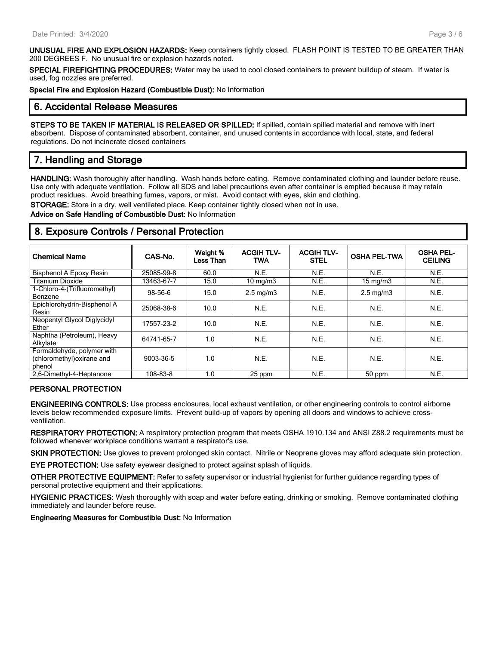UNUSUAL FIRE AND EXPLOSION HAZARDS: Keep containers tightly closed. FLASH POINT IS TESTED TO BE GREATER THAN 200 DEGREES F. No unusual fire or explosion hazards noted.

SPECIAL FIREFIGHTING PROCEDURES: Water may be used to cool closed containers to prevent buildup of steam. If water is used, fog nozzles are preferred.

Special Fire and Explosion Hazard (Combustible Dust): No Information

### 6. Accidental Release Measures

STEPS TO BE TAKEN IF MATERIAL IS RELEASED OR SPILLED: If spilled, contain spilled material and remove with inert absorbent. Dispose of contaminated absorbent, container, and unused contents in accordance with local, state, and federal regulations. Do not incinerate closed containers

# 7. Handling and Storage

HANDLING: Wash thoroughly after handling. Wash hands before eating. Remove contaminated clothing and launder before reuse. Use only with adequate ventilation. Follow all SDS and label precautions even after container is emptied because it may retain product residues. Avoid breathing fumes, vapors, or mist. Avoid contact with eyes, skin and clothing.

STORAGE: Store in a dry, well ventilated place. Keep container tightly closed when not in use.

Advice on Safe Handling of Combustible Dust: No Information

### 8. Exposure Controls / Personal Protection

|                              |            | Weight %  | <b>ACGIH TLV-</b>  | <b>ACGIH TLV-</b> |                     | <b>OSHA PEL-</b> |
|------------------------------|------------|-----------|--------------------|-------------------|---------------------|------------------|
| <b>Chemical Name</b>         | CAS-No.    | Less Than | <b>TWA</b>         | <b>STEL</b>       | <b>OSHA PEL-TWA</b> | <b>CEILING</b>   |
| Bisphenol A Epoxy Resin      | 25085-99-8 | 60.0      | N.E.               | N.E.              | N.E.                | N.E.             |
| <b>Titanium Dioxide</b>      | 13463-67-7 | 15.0      | $10 \text{ mg/m}$  | N.E.              | $15 \text{ mg/m}$   | N.E.             |
| 1-Chloro-4-(Trifluoromethyl) | 98-56-6    | 15.0      | $2.5 \text{ mg/m}$ | N.E.              | $2.5 \text{ mg/m}$  | N.E.             |
| Benzene                      |            |           |                    |                   |                     |                  |
| Epichlorohydrin-Bisphenol A  | 25068-38-6 | 10.0      | N.E.               | N.E.              | N.E.                | N.E.             |
| Resin                        |            |           |                    |                   |                     |                  |
| Neopentyl Glycol Diglycidyl  | 17557-23-2 | 10.0      | N.E.               | N.E.              | N.E.                | N.E.             |
| Ether                        |            |           |                    |                   |                     |                  |
| Naphtha (Petroleum), Heavy   | 64741-65-7 | 1.0       | N.E.               | N.E.              | N.E.                | N.E.             |
| Alkylate                     |            |           |                    |                   |                     |                  |
| Formaldehyde, polymer with   |            |           |                    |                   |                     |                  |
| (chloromethyl) oxirane and   | 9003-36-5  | 1.0       | N.E.               | N.E.              | N.E.                | N.E.             |
| phenol                       |            |           |                    |                   |                     |                  |
| 2.6-Dimethyl-4-Heptanone     | 108-83-8   | 1.0       | 25 ppm             | N.E.              | 50 ppm              | N.E.             |

### PERSONAL PROTECTION

ENGINEERING CONTROLS: Use process enclosures, local exhaust ventilation, or other engineering controls to control airborne levels below recommended exposure limits. Prevent build-up of vapors by opening all doors and windows to achieve crossventilation.

RESPIRATORY PROTECTION: A respiratory protection program that meets OSHA 1910.134 and ANSI Z88.2 requirements must be followed whenever workplace conditions warrant a respirator's use.

SKIN PROTECTION: Use gloves to prevent prolonged skin contact. Nitrile or Neoprene gloves may afford adequate skin protection.

EYE PROTECTION: Use safety eyewear designed to protect against splash of liquids.

OTHER PROTECTIVE EQUIPMENT: Refer to safety supervisor or industrial hygienist for further guidance regarding types of personal protective equipment and their applications.

HYGIENIC PRACTICES: Wash thoroughly with soap and water before eating, drinking or smoking. Remove contaminated clothing immediately and launder before reuse.

Engineering Measures for Combustible Dust: No Information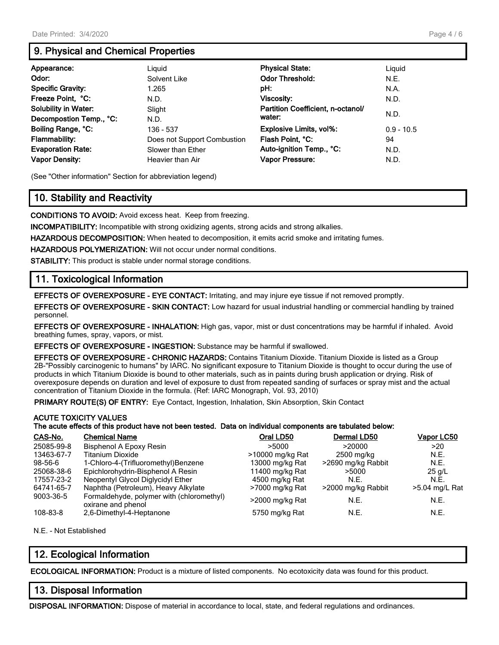# 9. Physical and Chemical Properties

| Appearance:                 | Liguid                      | <b>Physical State:</b>            | Liguid       |
|-----------------------------|-----------------------------|-----------------------------------|--------------|
| Odor:                       | Solvent Like                | <b>Odor Threshold:</b>            | N.E.         |
| <b>Specific Gravity:</b>    | 1.265                       | pH:                               | N.A.         |
| Freeze Point, °C:           | N.D.                        | Viscosity:                        | N.D.         |
| <b>Solubility in Water:</b> | Slight                      | Partition Coefficient, n-octanol/ |              |
| Decompostion Temp., °C:     | N.D.                        | water:                            | N.D.         |
| Boiling Range, °C:          | 136 - 537                   | Explosive Limits, vol%:           | $0.9 - 10.5$ |
| Flammability:               | Does not Support Combustion | Flash Point, °C:                  | 94           |
| <b>Evaporation Rate:</b>    | Slower than Ether           | Auto-ignition Temp., °C:          | N.D.         |
| <b>Vapor Density:</b>       | Heavier than Air            | <b>Vapor Pressure:</b>            | N.D.         |

(See "Other information" Section for abbreviation legend)

# 10. Stability and Reactivity

CONDITIONS TO AVOID: Avoid excess heat. Keep from freezing.

INCOMPATIBILITY: Incompatible with strong oxidizing agents, strong acids and strong alkalies.

HAZARDOUS DECOMPOSITION: When heated to decomposition, it emits acrid smoke and irritating fumes.

HAZARDOUS POLYMERIZATION: Will not occur under normal conditions.

STABILITY: This product is stable under normal storage conditions.

# 11. Toxicological Information

EFFECTS OF OVEREXPOSURE - EYE CONTACT: Irritating, and may injure eye tissue if not removed promptly.

EFFECTS OF OVEREXPOSURE - SKIN CONTACT: Low hazard for usual industrial handling or commercial handling by trained personnel.

EFFECTS OF OVEREXPOSURE - INHALATION: High gas, vapor, mist or dust concentrations may be harmful if inhaled. Avoid breathing fumes, spray, vapors, or mist.

EFFECTS OF OVEREXPOSURE - INGESTION: Substance may be harmful if swallowed.

EFFECTS OF OVEREXPOSURE - CHRONIC HAZARDS: Contains Titanium Dioxide. Titanium Dioxide is listed as a Group 2B-"Possibly carcinogenic to humans" by IARC. No significant exposure to Titanium Dioxide is thought to occur during the use of products in which Titanium Dioxide is bound to other materials, such as in paints during brush application or drying. Risk of overexposure depends on duration and level of exposure to dust from repeated sanding of surfaces or spray mist and the actual concentration of Titanium Dioxide in the formula. (Ref: IARC Monograph, Vol. 93, 2010)

PRIMARY ROUTE(S) OF ENTRY: Eye Contact, Ingestion, Inhalation, Skin Absorption, Skin Contact

### ACUTE TOXICITY VALUES

The acute effects of this product have not been tested. Data on individual components are tabulated below:

| CAS-No.    | <b>Chemical Name</b>                                            | Oral LD50        | Dermal LD50        | Vapor LC50     |
|------------|-----------------------------------------------------------------|------------------|--------------------|----------------|
| 25085-99-8 | Bisphenol A Epoxy Resin                                         | >5000            | >20000             | >20            |
| 13463-67-7 | <b>Titanium Dioxide</b>                                         | >10000 mg/kg Rat | 2500 mg/kg         | N.E.           |
| 98-56-6    | 1-Chloro-4-(Trifluoromethyl)Benzene                             | 13000 mg/kg Rat  | >2690 mg/kg Rabbit | N.E.           |
| 25068-38-6 | Epichlorohydrin-Bisphenol A Resin                               | 11400 mg/kg Rat  | >5000              | $25$ g/L       |
| 17557-23-2 | Neopentyl Glycol Diglycidyl Ether                               | 4500 mg/kg Rat   | N.E.               | N.F.           |
| 64741-65-7 | Naphtha (Petroleum), Heavy Alkylate                             | >7000 mg/kg Rat  | >2000 mg/kg Rabbit | >5.04 mg/L Rat |
| 9003-36-5  | Formaldehyde, polymer with (chloromethyl)<br>oxirane and phenol | >2000 mg/kg Rat  | N.E.               | N.E.           |
| 108-83-8   | 2,6-Dimethyl-4-Heptanone                                        | 5750 mg/kg Rat   | N.E.               | N.E.           |

N.E. - Not Established

# 12. Ecological Information

ECOLOGICAL INFORMATION: Product is a mixture of listed components. No ecotoxicity data was found for this product.

### 13. Disposal Information

DISPOSAL INFORMATION: Dispose of material in accordance to local, state, and federal regulations and ordinances.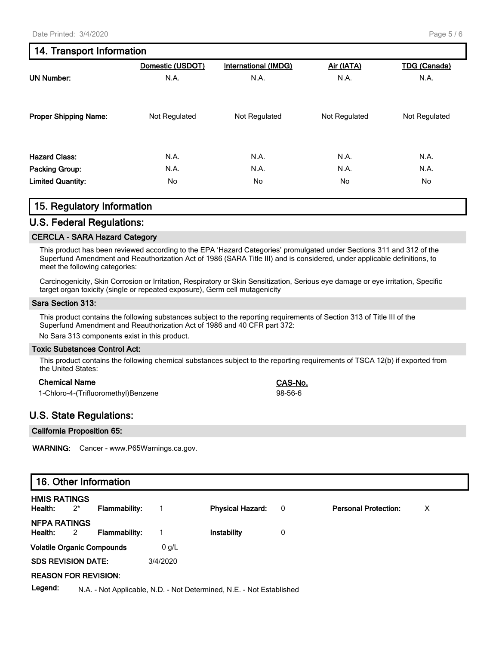|                              | Domestic (USDOT) | <b>International (IMDG)</b> | Air (IATA)    | <b>TDG (Canada)</b> |
|------------------------------|------------------|-----------------------------|---------------|---------------------|
| <b>UN Number:</b>            | N.A.             | N.A.                        | N.A.          | N.A.                |
| <b>Proper Shipping Name:</b> | Not Regulated    | Not Regulated               | Not Regulated | Not Regulated       |
| <b>Hazard Class:</b>         | N.A.             | N.A.                        | N.A.          | N.A.                |
| Packing Group:               | N.A.             | N.A.                        | N.A.          | N.A.                |
| <b>Limited Quantity:</b>     | No               | No                          | No            | No                  |

### 15. Regulatory Information

### U.S. Federal Regulations:

### CERCLA - SARA Hazard Category

This product has been reviewed according to the EPA 'Hazard Categories' promulgated under Sections 311 and 312 of the Superfund Amendment and Reauthorization Act of 1986 (SARA Title III) and is considered, under applicable definitions, to meet the following categories:

Carcinogenicity, Skin Corrosion or Irritation, Respiratory or Skin Sensitization, Serious eye damage or eye irritation, Specific target organ toxicity (single or repeated exposure), Germ cell mutagenicity

### Sara Section 313:

This product contains the following substances subject to the reporting requirements of Section 313 of Title III of the Superfund Amendment and Reauthorization Act of 1986 and 40 CFR part 372:

No Sara 313 components exist in this product.

### Toxic Substances Control Act:

This product contains the following chemical substances subject to the reporting requirements of TSCA 12(b) if exported from the United States:

### Chemical Name CAS-No.

| 1-Chloro-4-(Trifluoromethyl)Benzene | 98-56-6 |
|-------------------------------------|---------|
|-------------------------------------|---------|

### U.S. State Regulations:

### California Proposition 65:

WARNING: Cancer - www.P65Warnings.ca.gov.

### 16. Other Information

| <b>HMIS RATINGS</b><br>Health:    | $2^*$ | Flammability: |          | <b>Physical Hazard:</b> | $\overline{\phantom{0}}$ | <b>Personal Protection:</b> | Х |
|-----------------------------------|-------|---------------|----------|-------------------------|--------------------------|-----------------------------|---|
| <b>NFPA RATINGS</b><br>Health: 2  |       | Flammability: |          | Instability             | 0                        |                             |   |
| <b>Volatile Organic Compounds</b> |       |               | $0$ g/L  |                         |                          |                             |   |
| <b>SDS REVISION DATE:</b>         |       |               | 3/4/2020 |                         |                          |                             |   |
| <b>REASON FOR REVISION:</b>       |       |               |          |                         |                          |                             |   |
|                                   |       |               |          |                         |                          |                             |   |

Legend: N.A. - Not Applicable, N.D. - Not Determined, N.E. - Not Established